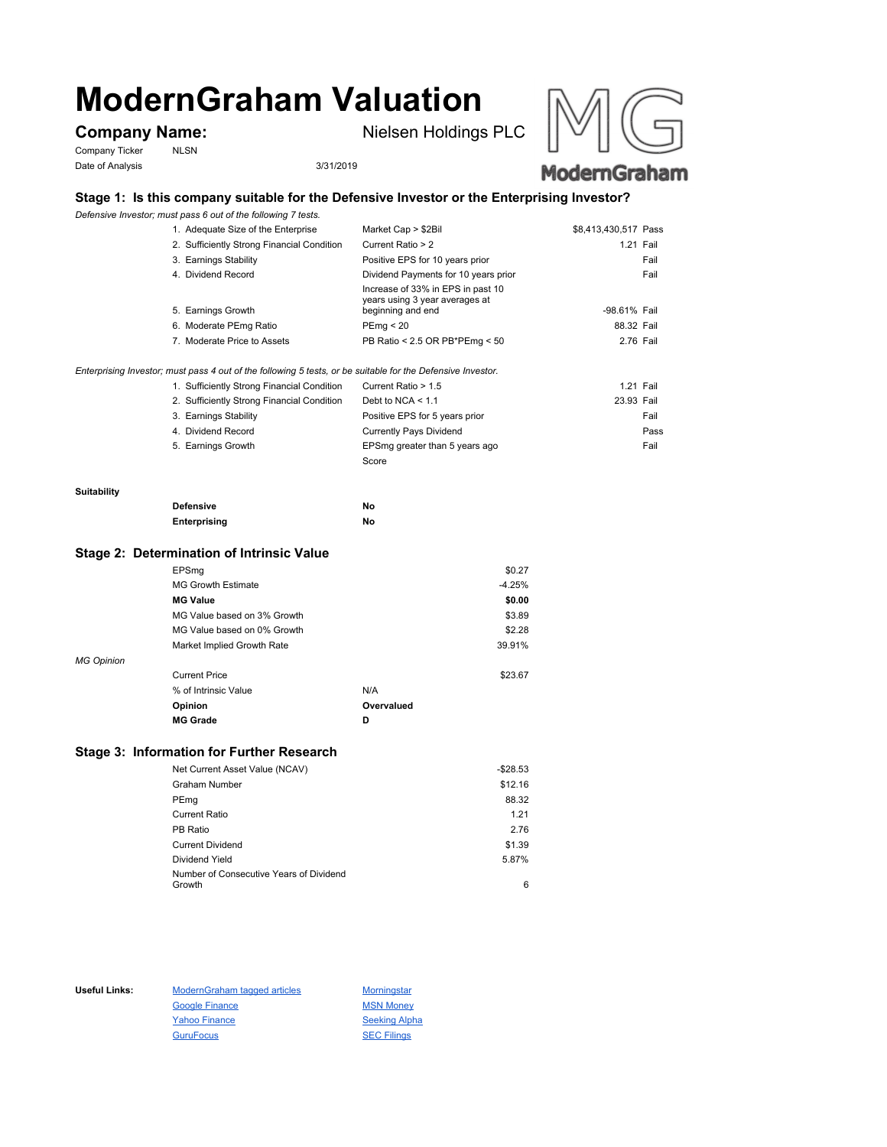# **ModernGraham Valuation**

Company Ticker NLSN Date of Analysis 3/31/2019

**Company Name:** Nielsen Holdings PLC





# **Stage 1: Is this company suitable for the Defensive Investor or the Enterprising Investor?**

*Defensive Investor; must pass 6 out of the following 7 tests.*

| 1. Adequate Size of the Enterprise         | Market Cap > \$2Bil                                                                      | \$8,413,430,517 Pass |      |
|--------------------------------------------|------------------------------------------------------------------------------------------|----------------------|------|
| 2. Sufficiently Strong Financial Condition | Current Ratio > 2                                                                        | 1.21 Fail            |      |
| 3. Earnings Stability                      | Positive EPS for 10 years prior                                                          |                      | Fail |
| 4. Dividend Record                         | Dividend Payments for 10 years prior                                                     |                      | Fail |
| 5. Earnings Growth                         | Increase of 33% in EPS in past 10<br>years using 3 year averages at<br>beginning and end | -98.61% Fail         |      |
| 6. Moderate PEmg Ratio                     | PEmq < 20                                                                                | 88.32 Fail           |      |
| 7. Moderate Price to Assets                | PB Ratio < 2.5 OR PB*PEmg < 50                                                           | 2.76 Fail            |      |
|                                            |                                                                                          |                      |      |

*Enterprising Investor; must pass 4 out of the following 5 tests, or be suitable for the Defensive Investor.*

| 1. Sufficiently Strong Financial Condition | Current Ratio > 1.5            | 1.21 Fail  |      |
|--------------------------------------------|--------------------------------|------------|------|
| 2. Sufficiently Strong Financial Condition | Debt to NCA $<$ 1.1            | 23.93 Fail |      |
| 3. Earnings Stability                      | Positive EPS for 5 years prior |            | Fail |
| 4. Dividend Record                         | <b>Currently Pays Dividend</b> |            | Pass |
| 5. Earnings Growth                         | EPSmg greater than 5 years ago |            | Fail |
|                                            | Score                          |            |      |

#### **Suitability**

| <b>Defensive</b> | Νo |
|------------------|----|
| Enterprising     | Νo |

### **Stage 2: Determination of Intrinsic Value**

|                   | EPSmg                       |            | \$0.27   |
|-------------------|-----------------------------|------------|----------|
|                   | <b>MG Growth Estimate</b>   |            | $-4.25%$ |
|                   | <b>MG Value</b>             |            | \$0.00   |
|                   | MG Value based on 3% Growth |            | \$3.89   |
|                   | MG Value based on 0% Growth |            | \$2.28   |
|                   | Market Implied Growth Rate  |            | 39.91%   |
| <b>MG Opinion</b> |                             |            |          |
|                   | <b>Current Price</b>        |            | \$23.67  |
|                   | % of Intrinsic Value        | N/A        |          |
|                   | Opinion                     | Overvalued |          |
|                   | <b>MG Grade</b>             | D          |          |
|                   |                             |            |          |

# **Stage 3: Information for Further Research**

| Net Current Asset Value (NCAV)          | $-$28.53$ |
|-----------------------------------------|-----------|
| Graham Number                           | \$12.16   |
| PEmg                                    | 88.32     |
| Current Ratio                           | 1.21      |
| PB Ratio                                | 2.76      |
| <b>Current Dividend</b>                 | \$1.39    |
| Dividend Yield                          | 5.87%     |
| Number of Consecutive Years of Dividend |           |
| Growth                                  | 6         |

Useful Links: ModernGraham tagged articles Morningstar Google Finance MSN Money Yahoo Finance Seeking Alpha GuruFocus SEC Filings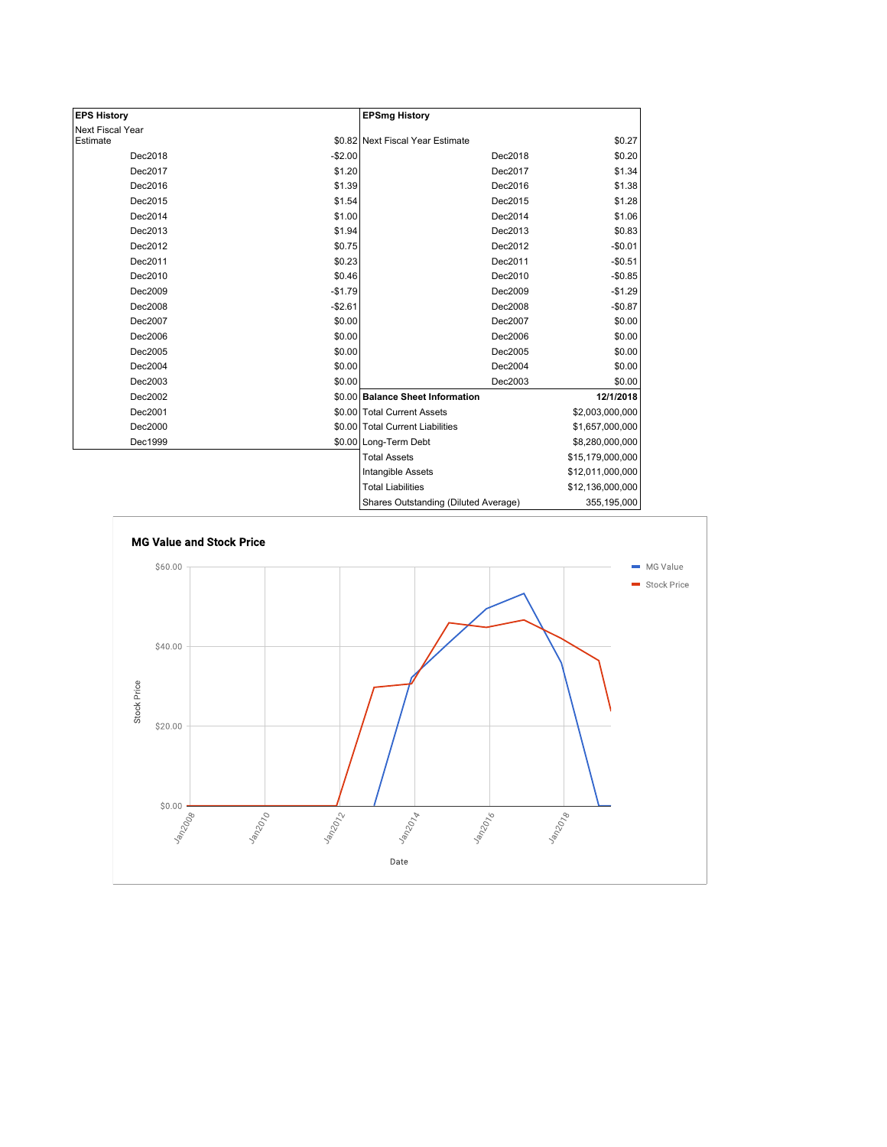| <b>EPS History</b> |          | <b>EPSmg History</b>                 |                  |
|--------------------|----------|--------------------------------------|------------------|
| Next Fiscal Year   |          |                                      |                  |
| Estimate           |          | \$0.82 Next Fiscal Year Estimate     | \$0.27           |
| Dec2018            | $-$2.00$ | Dec2018                              | \$0.20           |
| Dec2017            | \$1.20   | Dec2017                              | \$1.34           |
| Dec2016            | \$1.39   | Dec2016                              | \$1.38           |
| Dec2015            | \$1.54   | Dec2015                              | \$1.28           |
| Dec2014            | \$1.00   | Dec2014                              | \$1.06           |
| Dec2013            | \$1.94   | Dec2013                              | \$0.83           |
| Dec2012            | \$0.75   | Dec2012                              | $-$0.01$         |
| Dec2011            | \$0.23   | Dec2011                              | $-$0.51$         |
| Dec2010            | \$0.46   | Dec2010                              | $-$0.85$         |
| Dec2009            | $-$1.79$ | Dec2009                              | $-$1.29$         |
| Dec2008            | $-$2.61$ | Dec2008                              | $-$0.87$         |
| Dec2007            | \$0.00   | Dec2007                              | \$0.00           |
| Dec2006            | \$0.00   | Dec2006                              | \$0.00           |
| Dec2005            | \$0.00   | Dec2005                              | \$0.00           |
| Dec2004            | \$0.00   | Dec2004                              | \$0.00           |
| Dec2003            | \$0.00   | Dec2003                              | \$0.00           |
| Dec2002            |          | \$0.00 Balance Sheet Information     | 12/1/2018        |
| Dec2001            |          | \$0.00 Total Current Assets          | \$2,003,000,000  |
| Dec2000            |          | \$0.00 Total Current Liabilities     | \$1,657,000,000  |
| Dec1999            |          | \$0.00 Long-Term Debt                | \$8,280,000,000  |
|                    |          | <b>Total Assets</b>                  | \$15,179,000,000 |
|                    |          | Intangible Assets                    | \$12,011,000,000 |
|                    |          | <b>Total Liabilities</b>             | \$12,136,000,000 |
|                    |          | Sharee Outetanding (Diluted Average) | 355 105 000      |